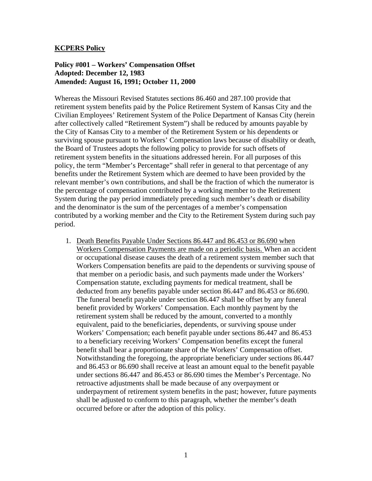# **KCPERS Policy**

# **Policy #001 – Workers' Compensation Offset Adopted: December 12, 1983 Amended: August 16, 1991; October 11, 2000**

Whereas the Missouri Revised Statutes sections 86.460 and 287.100 provide that retirement system benefits paid by the Police Retirement System of Kansas City and the Civilian Employees' Retirement System of the Police Department of Kansas City (herein after collectively called "Retirement System") shall be reduced by amounts payable by the City of Kansas City to a member of the Retirement System or his dependents or surviving spouse pursuant to Workers' Compensation laws because of disability or death, the Board of Trustees adopts the following policy to provide for such offsets of retirement system benefits in the situations addressed herein. For all purposes of this policy, the term "Member's Percentage" shall refer in general to that percentage of any benefits under the Retirement System which are deemed to have been provided by the relevant member's own contributions, and shall be the fraction of which the numerator is the percentage of compensation contributed by a working member to the Retirement System during the pay period immediately preceding such member's death or disability and the denominator is the sum of the percentages of a member's compensation contributed by a working member and the City to the Retirement System during such pay period.

1. Death Benefits Payable Under Sections 86.447 and 86.453 or 86.690 when Workers Compensation Payments are made on a periodic basis. When an accident or occupational disease causes the death of a retirement system member such that Workers Compensation benefits are paid to the dependents or surviving spouse of that member on a periodic basis, and such payments made under the Workers' Compensation statute, excluding payments for medical treatment, shall be deducted from any benefits payable under section 86.447 and 86.453 or 86.690. The funeral benefit payable under section 86.447 shall be offset by any funeral benefit provided by Workers' Compensation. Each monthly payment by the retirement system shall be reduced by the amount, converted to a monthly equivalent, paid to the beneficiaries, dependents, or surviving spouse under Workers' Compensation; each benefit payable under sections 86.447 and 86.453 to a beneficiary receiving Workers' Compensation benefits except the funeral benefit shall bear a proportionate share of the Workers' Compensation offset. Notwithstanding the foregoing, the appropriate beneficiary under sections 86.447 and 86.453 or 86.690 shall receive at least an amount equal to the benefit payable under sections 86.447 and 86.453 or 86.690 times the Member's Percentage. No retroactive adjustments shall be made because of any overpayment or underpayment of retirement system benefits in the past; however, future payments shall be adjusted to conform to this paragraph, whether the member's death occurred before or after the adoption of this policy.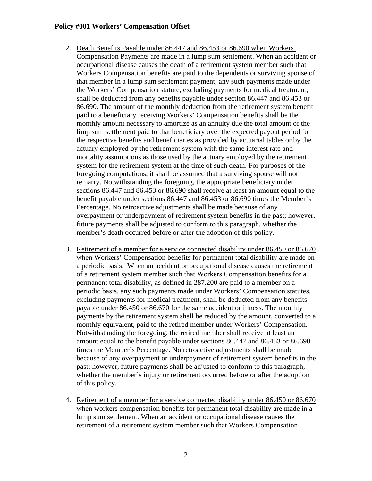# **Policy #001 Workers' Compensation Offset**

- 2. Death Benefits Payable under 86.447 and 86.453 or 86.690 when Workers' Compensation Payments are made in a lump sum settlement. When an accident or occupational disease causes the death of a retirement system member such that Workers Compensation benefits are paid to the dependents or surviving spouse of that member in a lump sum settlement payment, any such payments made under the Workers' Compensation statute, excluding payments for medical treatment, shall be deducted from any benefits payable under section 86.447 and 86.453 or 86.690. The amount of the monthly deduction from the retirement system benefit paid to a beneficiary receiving Workers' Compensation benefits shall be the monthly amount necessary to amortize as an annuity due the total amount of the limp sum settlement paid to that beneficiary over the expected payout period for the respective benefits and beneficiaries as provided by actuarial tables or by the actuary employed by the retirement system with the same interest rate and mortality assumptions as those used by the actuary employed by the retirement system for the retirement system at the time of such death. For purposes of the foregoing computations, it shall be assumed that a surviving spouse will not remarry. Notwithstanding the foregoing, the appropriate beneficiary under sections 86.447 and 86.453 or 86.690 shall receive at least an amount equal to the benefit payable under sections 86.447 and 86.453 or 86.690 times the Member's Percentage. No retroactive adjustments shall be made because of any overpayment or underpayment of retirement system benefits in the past; however, future payments shall be adjusted to conform to this paragraph, whether the member's death occurred before or after the adoption of this policy.
- 3. Retirement of a member for a service connected disability under 86.450 or 86.670 when Workers' Compensation benefits for permanent total disability are made on a periodic basis. When an accident or occupational disease causes the retirement of a retirement system member such that Workers Compensation benefits for a permanent total disability, as defined in 287.200 are paid to a member on a periodic basis, any such payments made under Workers' Compensation statutes, excluding payments for medical treatment, shall be deducted from any benefits payable under 86.450 or 86.670 for the same accident or illness. The monthly payments by the retirement system shall be reduced by the amount, converted to a monthly equivalent, paid to the retired member under Workers' Compensation. Notwithstanding the foregoing, the retired member shall receive at least an amount equal to the benefit payable under sections 86.447 and 86.453 or 86.690 times the Member's Percentage. No retroactive adjustments shall be made because of any overpayment or underpayment of retirement system benefits in the past; however, future payments shall be adjusted to conform to this paragraph, whether the member's injury or retirement occurred before or after the adoption of this policy.
- 4. Retirement of a member for a service connected disability under 86.450 or 86.670 when workers compensation benefits for permanent total disability are made in a lump sum settlement. When an accident or occupational disease causes the retirement of a retirement system member such that Workers Compensation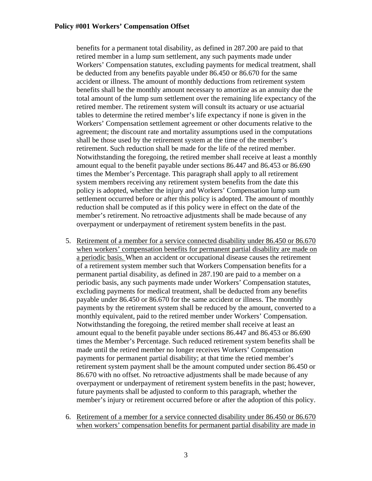#### **Policy #001 Workers' Compensation Offset**

benefits for a permanent total disability, as defined in 287.200 are paid to that retired member in a lump sum settlement, any such payments made under Workers' Compensation statutes, excluding payments for medical treatment, shall be deducted from any benefits payable under 86.450 or 86.670 for the same accident or illness. The amount of monthly deductions from retirement system benefits shall be the monthly amount necessary to amortize as an annuity due the total amount of the lump sum settlement over the remaining life expectancy of the retired member. The retirement system will consult its actuary or use actuarial tables to determine the retired member's life expectancy if none is given in the Workers' Compensation settlement agreement or other documents relative to the agreement; the discount rate and mortality assumptions used in the computations shall be those used by the retirement system at the time of the member's retirement. Such reduction shall be made for the life of the retired member. Notwithstanding the foregoing, the retired member shall receive at least a monthly amount equal to the benefit payable under sections 86.447 and 86.453 or 86.690 times the Member's Percentage. This paragraph shall apply to all retirement system members receiving any retirement system benefits from the date this policy is adopted, whether the injury and Workers' Compensation lump sum settlement occurred before or after this policy is adopted. The amount of monthly reduction shall be computed as if this policy were in effect on the date of the member's retirement. No retroactive adjustments shall be made because of any overpayment or underpayment of retirement system benefits in the past.

- 5. Retirement of a member for a service connected disability under 86.450 or 86.670 when workers' compensation benefits for permanent partial disability are made on a periodic basis. When an accident or occupational disease causes the retirement of a retirement system member such that Workers Compensation benefits for a permanent partial disability, as defined in 287.190 are paid to a member on a periodic basis, any such payments made under Workers' Compensation statutes, excluding payments for medical treatment, shall be deducted from any benefits payable under 86.450 or 86.670 for the same accident or illness. The monthly payments by the retirement system shall be reduced by the amount, converted to a monthly equivalent, paid to the retired member under Workers' Compensation. Notwithstanding the foregoing, the retired member shall receive at least an amount equal to the benefit payable under sections 86.447 and 86.453 or 86.690 times the Member's Percentage. Such reduced retirement system benefits shall be made until the retired member no longer receives Workers' Compensation payments for permanent partial disability; at that time the retied member's retirement system payment shall be the amount computed under section 86.450 or 86.670 with no offset. No retroactive adjustments shall be made because of any overpayment or underpayment of retirement system benefits in the past; however, future payments shall be adjusted to conform to this paragraph, whether the member's injury or retirement occurred before or after the adoption of this policy.
- 6. Retirement of a member for a service connected disability under 86.450 or 86.670 when workers' compensation benefits for permanent partial disability are made in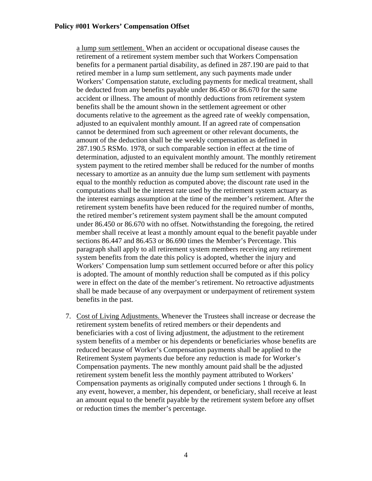a lump sum settlement. When an accident or occupational disease causes the retirement of a retirement system member such that Workers Compensation benefits for a permanent partial disability, as defined in 287.190 are paid to that retired member in a lump sum settlement, any such payments made under Workers' Compensation statute, excluding payments for medical treatment, shall be deducted from any benefits payable under 86.450 or 86.670 for the same accident or illness. The amount of monthly deductions from retirement system benefits shall be the amount shown in the settlement agreement or other documents relative to the agreement as the agreed rate of weekly compensation, adjusted to an equivalent monthly amount. If an agreed rate of compensation cannot be determined from such agreement or other relevant documents, the amount of the deduction shall be the weekly compensation as defined in 287.190.5 RSMo. 1978, or such comparable section in effect at the time of determination, adjusted to an equivalent monthly amount. The monthly retirement system payment to the retired member shall be reduced for the number of months necessary to amortize as an annuity due the lump sum settlement with payments equal to the monthly reduction as computed above; the discount rate used in the computations shall be the interest rate used by the retirement system actuary as the interest earnings assumption at the time of the member's retirement. After the retirement system benefits have been reduced for the required number of months, the retired member's retirement system payment shall be the amount computed under 86.450 or 86.670 with no offset. Notwithstanding the foregoing, the retired member shall receive at least a monthly amount equal to the benefit payable under sections 86.447 and 86.453 or 86.690 times the Member's Percentage. This paragraph shall apply to all retirement system members receiving any retirement system benefits from the date this policy is adopted, whether the injury and Workers' Compensation lump sum settlement occurred before or after this policy is adopted. The amount of monthly reduction shall be computed as if this policy were in effect on the date of the member's retirement. No retroactive adjustments shall be made because of any overpayment or underpayment of retirement system benefits in the past.

7. Cost of Living Adjustments. Whenever the Trustees shall increase or decrease the retirement system benefits of retired members or their dependents and beneficiaries with a cost of living adjustment, the adjustment to the retirement system benefits of a member or his dependents or beneficiaries whose benefits are reduced because of Worker's Compensation payments shall be applied to the Retirement System payments due before any reduction is made for Worker's Compensation payments. The new monthly amount paid shall be the adjusted retirement system benefit less the monthly payment attributed to Workers' Compensation payments as originally computed under sections 1 through 6. In any event, however, a member, his dependent, or beneficiary, shall receive at least an amount equal to the benefit payable by the retirement system before any offset or reduction times the member's percentage.